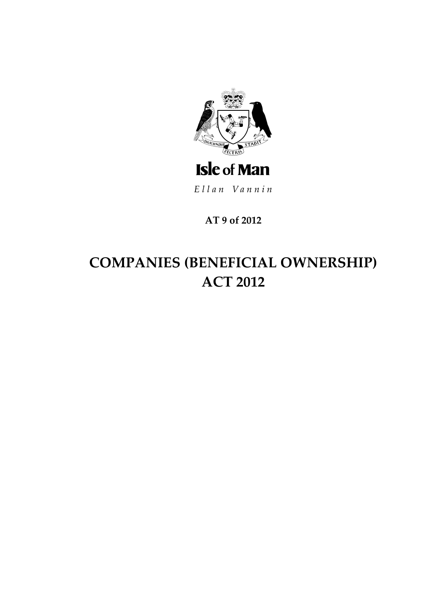

Ellan Vannin

AT 9 of 2012

# **COMPANIES (BENEFICIAL OWNERSHIP) ACT 2012**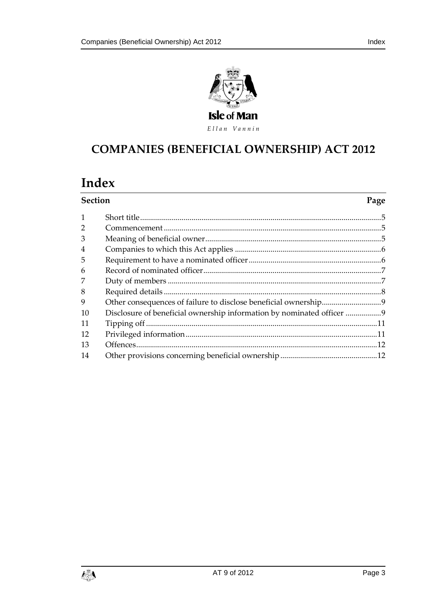



# **COMPANIES (BENEFICIAL OWNERSHIP) ACT 2012**

# Index

| <b>Section</b> |                                                                     | Page |
|----------------|---------------------------------------------------------------------|------|
| 1              |                                                                     |      |
| $\overline{2}$ |                                                                     |      |
| 3              |                                                                     |      |
| 4              |                                                                     |      |
| 5              |                                                                     |      |
| 6              |                                                                     |      |
| 7              |                                                                     |      |
| 8              |                                                                     |      |
| 9              |                                                                     |      |
| 10             | Disclosure of beneficial ownership information by nominated officer |      |
| 11             |                                                                     |      |
| 12             |                                                                     |      |
| 13             |                                                                     |      |
| 14             |                                                                     |      |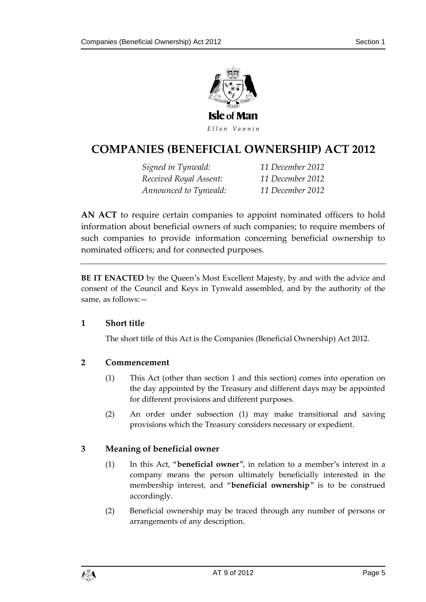

# **COMPANIES (BENEFICIA L OWNERSHIP) ACT 2012**

*Signed in Tynwald: 11 December 2012 Received Royal Assent: 11 December 2012 Announced to Tynwald: 11 December 2012*

**AN ACT** to require certain companies to appoint nominated officers to hold information about beneficial owners of such companies; to require members of such companies to provide information concerning beneficial ownership to nominated officers; and for connected purposes.

**BE IT ENACTED** by the Queen's Most Excellent Majesty, by and with the advice and consent of the Council and Keys in Tynwald assembled, and by the authority of the same, as follows:—

### <span id="page-4-0"></span>**1 Short title**

The short title of this Act is the Companies (Beneficial Ownership) Act 2012.

# <span id="page-4-1"></span>**2 Commencement**

- (1) This Act (other than section 1 and this section) comes into operation on the day appointed by the Treasury and different days may be appointed for different provisions and different purposes.
- (2) An order under subsection (1) may make transitional and saving provisions which the Treasury considers necessary or expedient.

# <span id="page-4-2"></span>**3 Meaning of beneficial owner**

- (1) In this Act, "**beneficial owner**", in relation to a member's interest in a company means the person ultimately beneficially interested in the membership interest, and "**beneficial ownership**" is to be construed accordingly.
- (2) Beneficial ownership may be traced through any number of persons or arrangements of any description.

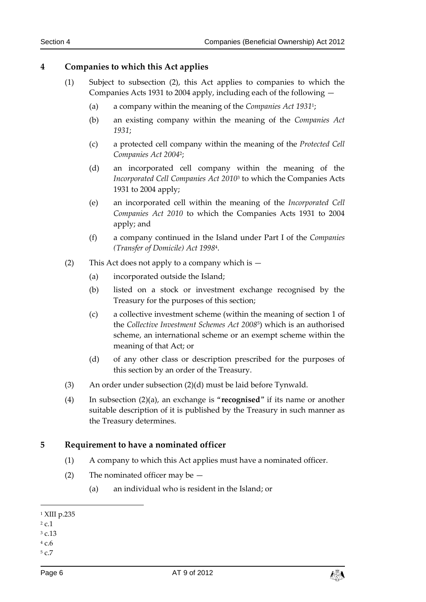# <span id="page-5-0"></span>**4 Companies to which this Act applies**

- (1) Subject to subsection (2), this Act applies to companies to which the Companies Acts 1931 to 2004 apply, including each of the following —
	- (a) a company within the meaning of the *Companies Act 1931*<sup>1</sup> ;
	- (b) an existing company within the meaning of the *Companies Act 1931*;
	- (c) a protected cell company within the meaning of the *Protected Cell Companies Act 2004*<sup>2</sup> ;
	- (d) an incorporated cell company within the meaning of the *Incorporated Cell Companies Act 2010*<sup>3</sup> to which the Companies Acts 1931 to 2004 apply;
	- (e) an incorporated cell within the meaning of the *Incorporated Cell Companies Act 2010* to which the Companies Acts 1931 to 2004 apply; and
	- (f) a company continued in the Island under Part I of the *Companies (Transfer of Domicile) Act 1998*<sup>4</sup> .
- (2) This Act does not apply to a company which is  $-$ 
	- (a) incorporated outside the Island;
	- (b) listed on a stock or investment exchange recognised by the Treasury for the purposes of this section;
	- (c) a collective investment scheme (within the meaning of section 1 of the *Collective Investment Schemes Act 2008*<sup>5</sup> ) which is an authorised scheme, an international scheme or an exempt scheme within the meaning of that Act; or
	- (d) of any other class or description prescribed for the purposes of this section by an order of the Treasury.
- (3) An order under subsection (2)(d) must be laid before Tynwald.
- (4) In subsection (2)(a), an exchange is "**recognised**" if its name or another suitable description of it is published by the Treasury in such manner as the Treasury determines.

### <span id="page-5-1"></span>**5 Requirement to have a nominated officer**

- (1) A company to which this Act applies must have a nominated officer.
- (2) The nominated officer may be  $-$ 
	- (a) an individual who is resident in the Island; or

<sup>3</sup> c.13

-

<sup>4</sup> c.6 <sup>5</sup> c.7



<sup>1</sup> XIII p.235

 $2 c.1$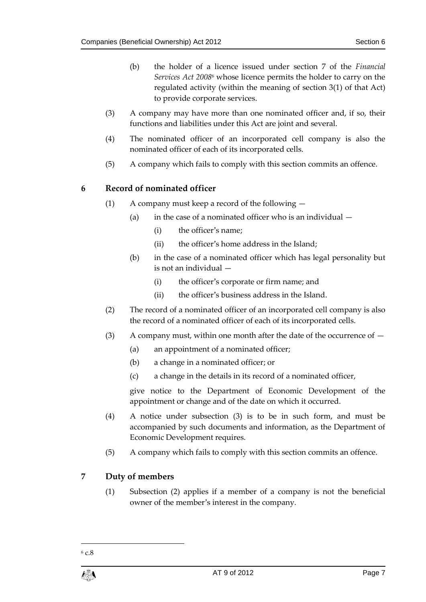- (b) the holder of a licence issued under section 7 of the *Financial Services Act 2008*<sup>6</sup> whose licence permits the holder to carry on the regulated activity (within the meaning of section 3(1) of that Act) to provide corporate services.
- (3) A company may have more than one nominated officer and, if so, their functions and liabilities under this Act are joint and several.
- (4) The nominated officer of an incorporated cell company is also the nominated officer of each of its incorporated cells.
- (5) A company which fails to comply with this section commits an offence.

# <span id="page-6-0"></span>**6 Record of nominated officer**

- (1) A company must keep a record of the following
	- (a) in the case of a nominated officer who is an individual  $-$ 
		- (i) the officer's name;
		- (ii) the officer's home address in the Island;
	- (b) in the case of a nominated officer which has legal personality but is not an individual —
		- (i) the officer's corporate or firm name; and
		- (ii) the officer's business address in the Island.
- (2) The record of a nominated officer of an incorporated cell company is also the record of a nominated officer of each of its incorporated cells.
- (3) A company must, within one month after the date of the occurrence of  $-$ 
	- (a) an appointment of a nominated officer;
	- (b) a change in a nominated officer; or
	- (c) a change in the details in its record of a nominated officer,

give notice to the Department of Economic Development of the appointment or change and of the date on which it occurred.

- (4) A notice under subsection (3) is to be in such form, and must be accompanied by such documents and information, as the Department of Economic Development requires.
- (5) A company which fails to comply with this section commits an offence.

# <span id="page-6-1"></span>**7 Duty of members**

(1) Subsection (2) applies if a member of a company is not the beneficial owner of the member's interest in the company.

<sup>1</sup>  $6 c.8$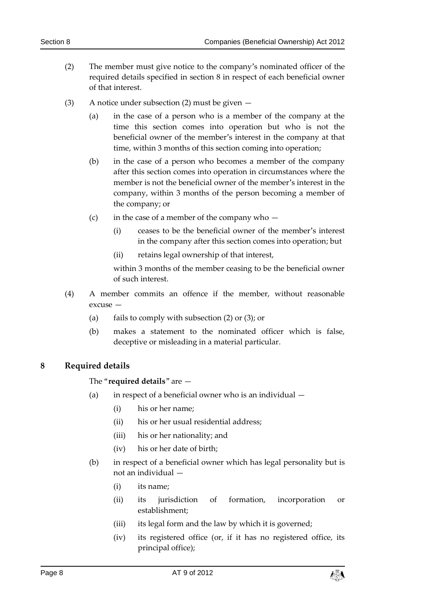- (2) The member must give notice to the company's nominated officer of the required details specified in section 8 in respect of each beneficial owner of that interest.
- (3) A notice under subsection (2) must be given
	- (a) in the case of a person who is a member of the company at the time this section comes into operation but who is not the beneficial owner of the member's interest in the company at that time, within 3 months of this section coming into operation;
	- (b) in the case of a person who becomes a member of the company after this section comes into operation in circumstances where the member is not the beneficial owner of the member's interest in the company, within 3 months of the person becoming a member of the company; or
	- (c) in the case of a member of the company who  $-$ 
		- (i) ceases to be the beneficial owner of the member's interest in the company after this section comes into operation; but
		- (ii) retains legal ownership of that interest,

within 3 months of the member ceasing to be the beneficial owner of such interest.

- (4) A member commits an offence if the member, without reasonable excuse —
	- (a) fails to comply with subsection (2) or (3); or
	- (b) makes a statement to the nominated officer which is false, deceptive or misleading in a material particular.

### <span id="page-7-0"></span>**8 Required details**

### The "**required details**" are —

- (a) in respect of a beneficial owner who is an individual  $-$ 
	- (i) his or her name;
	- (ii) his or her usual residential address;
	- (iii) his or her nationality; and
	- (iv) his or her date of birth;
- (b) in respect of a beneficial owner which has legal personality but is not an individual —
	- (i) its name;
	- (ii) its jurisdiction of formation, incorporation or establishment;
	- (iii) its legal form and the law by which it is governed;
	- (iv) its registered office (or, if it has no registered office, its principal office);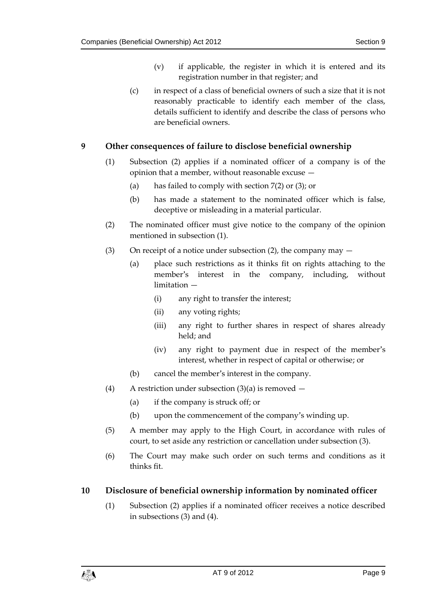- (v) if applicable, the register in which it is entered and its registration number in that register; and
- (c) in respect of a class of beneficial owners of such a size that it is not reasonably practicable to identify each member of the class, details sufficient to identify and describe the class of persons who are beneficial owners.

### <span id="page-8-0"></span>**9 Other consequences of failure to disclose beneficial ownership**

- (1) Subsection (2) applies if a nominated officer of a company is of the opinion that a member, without reasonable excuse —
	- (a) has failed to comply with section 7(2) or (3); or
	- (b) has made a statement to the nominated officer which is false, deceptive or misleading in a material particular.
- (2) The nominated officer must give notice to the company of the opinion mentioned in subsection (1).
- (3) On receipt of a notice under subsection (2), the company may  $-$ 
	- (a) place such restrictions as it thinks fit on rights attaching to the member's interest in the company, including, without limitation —
		- (i) any right to transfer the interest;
		- (ii) any voting rights;
		- (iii) any right to further shares in respect of shares already held; and
		- (iv) any right to payment due in respect of the member's interest, whether in respect of capital or otherwise; or
	- (b) cancel the member's interest in the company.
- (4) A restriction under subsection  $(3)(a)$  is removed  $-$ 
	- (a) if the company is struck off; or
	- (b) upon the commencement of the company's winding up.
- (5) A member may apply to the High Court, in accordance with rules of court, to set aside any restriction or cancellation under subsection (3).
- (6) The Court may make such order on such terms and conditions as it thinks fit.

### <span id="page-8-1"></span>**10 Disclosure of beneficial ownership information by nominated officer**

(1) Subsection (2) applies if a nominated officer receives a notice described in subsections (3) and (4).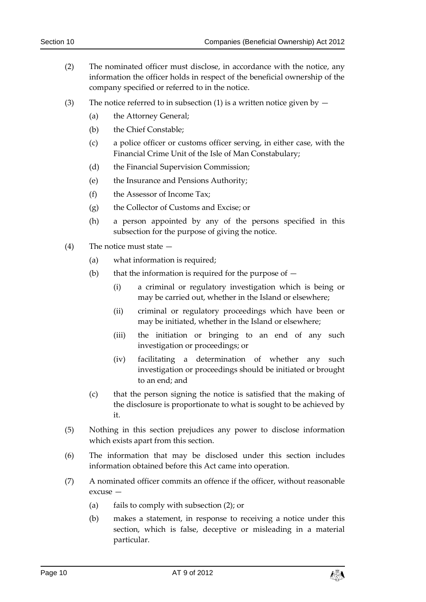- (2) The nominated officer must disclose, in accordance with the notice, any information the officer holds in respect of the beneficial ownership of the company specified or referred to in the notice.
- (3) The notice referred to in subsection (1) is a written notice given by  $-$ 
	- (a) the Attorney General;
	- (b) the Chief Constable;
	- (c) a police officer or customs officer serving, in either case, with the Financial Crime Unit of the Isle of Man Constabulary;
	- (d) the Financial Supervision Commission;
	- (e) the Insurance and Pensions Authority;
	- (f) the Assessor of Income Tax;
	- (g) the Collector of Customs and Excise; or
	- (h) a person appointed by any of the persons specified in this subsection for the purpose of giving the notice.
- (4) The notice must state
	- (a) what information is required;
	- (b) that the information is required for the purpose of  $-$ 
		- (i) a criminal or regulatory investigation which is being or may be carried out, whether in the Island or elsewhere;
		- (ii) criminal or regulatory proceedings which have been or may be initiated, whether in the Island or elsewhere;
		- (iii) the initiation or bringing to an end of any such investigation or proceedings; or
		- (iv) facilitating a determination of whether any such investigation or proceedings should be initiated or brought to an end; and
	- (c) that the person signing the notice is satisfied that the making of the disclosure is proportionate to what is sought to be achieved by it.
- (5) Nothing in this section prejudices any power to disclose information which exists apart from this section.
- (6) The information that may be disclosed under this section includes information obtained before this Act came into operation.
- (7) A nominated officer commits an offence if the officer, without reasonable excuse —
	- (a) fails to comply with subsection (2); or
	- (b) makes a statement, in response to receiving a notice under this section, which is false, deceptive or misleading in a material particular.

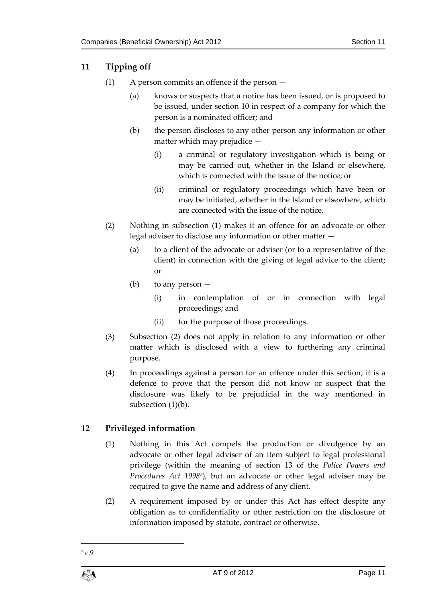# <span id="page-10-0"></span>**11 Tipping off**

- (1) A person commits an offence if the person
	- (a) knows or suspects that a notice has been issued, or is proposed to be issued, under section 10 in respect of a company for which the person is a nominated officer; and
	- (b) the person discloses to any other person any information or other matter which may prejudice —
		- (i) a criminal or regulatory investigation which is being or may be carried out, whether in the Island or elsewhere, which is connected with the issue of the notice; or
		- (ii) criminal or regulatory proceedings which have been or may be initiated, whether in the Island or elsewhere, which are connected with the issue of the notice.
- (2) Nothing in subsection (1) makes it an offence for an advocate or other legal adviser to disclose any information or other matter —
	- (a) to a client of the advocate or adviser (or to a representative of the client) in connection with the giving of legal advice to the client; or
	- (b) to any person
		- (i) in contemplation of or in connection with legal proceedings; and
		- (ii) for the purpose of those proceedings.
- (3) Subsection (2) does not apply in relation to any information or other matter which is disclosed with a view to furthering any criminal purpose.
- (4) In proceedings against a person for an offence under this section, it is a defence to prove that the person did not know or suspect that the disclosure was likely to be prejudicial in the way mentioned in subsection (1)(b).

# <span id="page-10-1"></span>**12 Privileged information**

- (1) Nothing in this Act compels the production or divulgence by an advocate or other legal adviser of an item subject to legal professional privilege (within the meaning of section 13 of the *Police Powers and Procedures Act 1998*<sup>7</sup> ), but an advocate or other legal adviser may be required to give the name and address of any client.
- (2) A requirement imposed by or under this Act has effect despite any obligation as to confidentiality or other restriction on the disclosure of information imposed by statute, contract or otherwise.

<sup>1</sup> <sup>7</sup> c.9